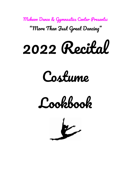Mckeon Dance & Gymnastics Center Presents: "More Than Just Great Dancing "







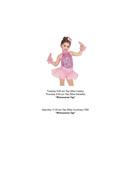

Tuesday 9:00 am Tap (Miss Casey) Thursday 6:00 pm Tap (Miss Danielle) **"Rhinoceros Tap"**

Saturday 11:45 am Tap (Miss Courtney)-TBD **"Rhinoceros Tap"**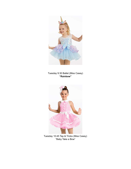

Tuesday 9:30 Ballet (Miss Casey) **"Rainbow"**



Tuesday 10:45 Tap & Tricks (Miss Casey) "Baby Take a Bow"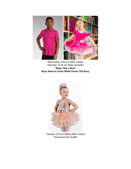

Wednesday 3:00 pm (Miss Casey) Saturday 10:30 am (Miss Danielle) **"Baby Take a Bow" Boys Need to Order White Pants- Old Navy**



Tuesday 4:00 pm Ballet (Miss Casey) "Genevieve the Giraffe"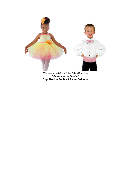

Wednesday 4:30 pm Ballet (Miss Danielle) **"Genevieve the Giraffe" Boys Need to Get Black Pants- Old Navy**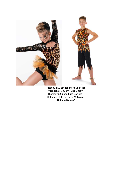

Tuesday 4:00 pm Tap (Miss Danielle) Wednesday 5:30 pm (Miss Casey) Thursday 5:00 pm (Miss Danielle) Saturday 11:00 am (Miss Makayla) **"Hakuna Matata"**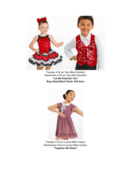

Tuesday 4:30 pm Tap (Miss Danielle) Wednesday 4:00 pm Tap (Miss Danielle) **"Let Me Entertain You" Boys Need Black Pants- Old Navy**



Tuesday 4:30 pm Lyrical (Miss Casey) Wednesday 5:00 pm Lyrical (Miss Casey) **"Together We Stand"**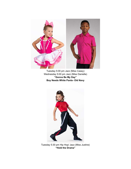

Tuesday 5:00 pm Jazz (Miss Casey) Wednesday 5:00 pm Jazz (Miss Danielle) **"Gonna Be My Day" Boy Needs White Pants- Old Navy**



Tuesday 5:30 pm Hip Hop/ Jazz (Miss Justine) **"Hold the Drama"**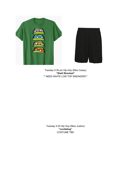



Tuesday 5:30 pm Hip Hop (Miss Casey) **"Shell Shocked"** \*\* NEED WHITE LOW TOP SNEAKERS\*\*

Tuesday 5:30 Hip Hop (Miss Justine) **"Levitating"** COSTUME TBD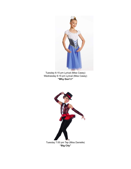

Tuesday 6:15 pm Lyrical (Miss Casey) Wednesday 6:15 pm Lyrical (Miss Casey) **"Why Don't I"**

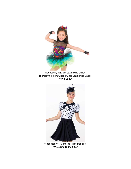

Wednesday 4:30 pm Jazz (Miss Casey) Thursday 6:00 pm Closed Class Jazz (Miss Casey) **"I'm a Lady"**



Wednesday 5:30 pm Tap (Miss Danielle) **"Welcome to the 60's"**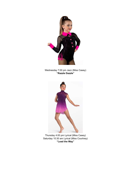

Wednesday 7:00 pm Jazz (Miss Casey) **"Razzle Dazzle"**



Thursday 4:00 pm Lyrical (Miss Casey) Saturday 10:30 am Lyrical (Miss Courtney) **"Lead the Way"**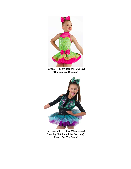

Thursday 4:30 pm Jazz (Miss Casey) **"Big City Big Dreams"**



Thursday 5:00 pm Jazz (Miss Casey) Saturday 10:00 am (Miss Courtney) **"Reach For The Stars"**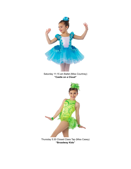

**"Broadway Kids"**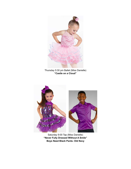

Thursday 5:30 pm Ballet (Miss Danielle) **"Castle on a Cloud"**



Saturday 9:00 Tap (Miss Danielle) **"Never Fully Dressed Without A Smile" Boys Need Black Pants- Old Navy**